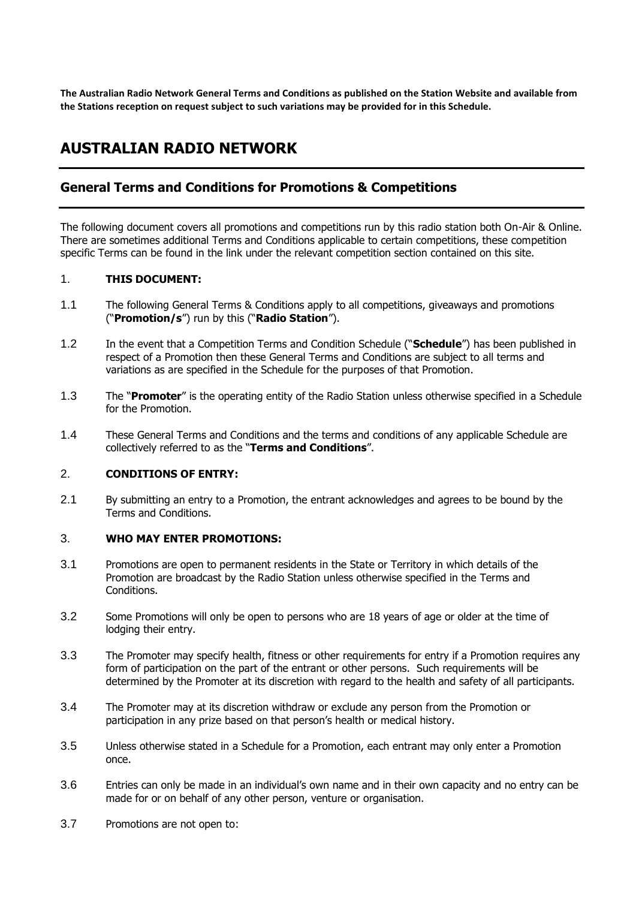**The Australian Radio Network General Terms and Conditions as published on the Station Website and available from the Stations reception on request subject to such variations may be provided for in this Schedule.**

# **AUSTRALIAN RADIO NETWORK**

# **General Terms and Conditions for Promotions & Competitions**

The following document covers all promotions and competitions run by this radio station both On-Air & Online. There are sometimes additional Terms and Conditions applicable to certain competitions, these competition specific Terms can be found in the link under the relevant competition section contained on this site.

#### 1. **THIS DOCUMENT:**

- 1.1 The following General Terms & Conditions apply to all competitions, giveaways and promotions ("**Promotion/s**") run by this ("**Radio Station**").
- 1.2 In the event that a Competition Terms and Condition Schedule ("**Schedule**") has been published in respect of a Promotion then these General Terms and Conditions are subject to all terms and variations as are specified in the Schedule for the purposes of that Promotion.
- 1.3 The "**Promoter**" is the operating entity of the Radio Station unless otherwise specified in a Schedule for the Promotion.
- 1.4 These General Terms and Conditions and the terms and conditions of any applicable Schedule are collectively referred to as the "**Terms and Conditions**".

#### 2. **CONDITIONS OF ENTRY:**

2.1 By submitting an entry to a Promotion, the entrant acknowledges and agrees to be bound by the Terms and Conditions.

#### 3. **WHO MAY ENTER PROMOTIONS:**

- 3.1 Promotions are open to permanent residents in the State or Territory in which details of the Promotion are broadcast by the Radio Station unless otherwise specified in the Terms and Conditions.
- 3.2 Some Promotions will only be open to persons who are 18 years of age or older at the time of lodging their entry.
- 3.3 The Promoter may specify health, fitness or other requirements for entry if a Promotion requires any form of participation on the part of the entrant or other persons. Such requirements will be determined by the Promoter at its discretion with regard to the health and safety of all participants.
- 3.4 The Promoter may at its discretion withdraw or exclude any person from the Promotion or participation in any prize based on that person's health or medical history.
- 3.5 Unless otherwise stated in a Schedule for a Promotion, each entrant may only enter a Promotion once.
- 3.6 Entries can only be made in an individual's own name and in their own capacity and no entry can be made for or on behalf of any other person, venture or organisation.
- 3.7 Promotions are not open to: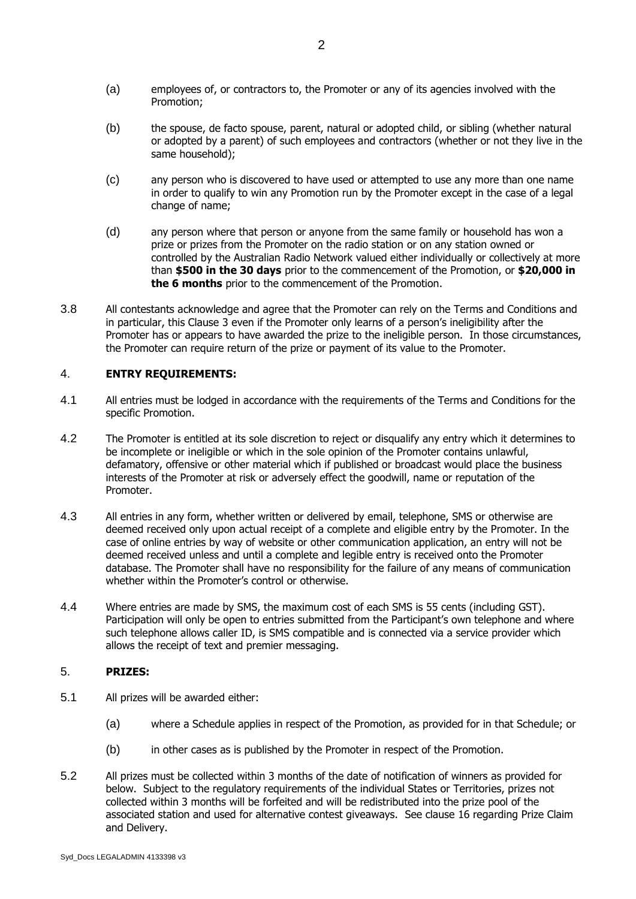- (a) employees of, or contractors to, the Promoter or any of its agencies involved with the Promotion;
- (b) the spouse, de facto spouse, parent, natural or adopted child, or sibling (whether natural or adopted by a parent) of such employees and contractors (whether or not they live in the same household);
- (c) any person who is discovered to have used or attempted to use any more than one name in order to qualify to win any Promotion run by the Promoter except in the case of a legal change of name;
- (d) any person where that person or anyone from the same family or household has won a prize or prizes from the Promoter on the radio station or on any station owned or controlled by the Australian Radio Network valued either individually or collectively at more than **\$500 in the 30 days** prior to the commencement of the Promotion, or **\$20,000 in the 6 months** prior to the commencement of the Promotion.
- 3.8 All contestants acknowledge and agree that the Promoter can rely on the Terms and Conditions and in particular, this Clause 3 even if the Promoter only learns of a person's ineligibility after the Promoter has or appears to have awarded the prize to the ineligible person. In those circumstances, the Promoter can require return of the prize or payment of its value to the Promoter.

## 4. **ENTRY REQUIREMENTS:**

- 4.1 All entries must be lodged in accordance with the requirements of the Terms and Conditions for the specific Promotion.
- 4.2 The Promoter is entitled at its sole discretion to reject or disqualify any entry which it determines to be incomplete or ineligible or which in the sole opinion of the Promoter contains unlawful, defamatory, offensive or other material which if published or broadcast would place the business interests of the Promoter at risk or adversely effect the goodwill, name or reputation of the Promoter.
- 4.3 All entries in any form, whether written or delivered by email, telephone, SMS or otherwise are deemed received only upon actual receipt of a complete and eligible entry by the Promoter. In the case of online entries by way of website or other communication application, an entry will not be deemed received unless and until a complete and legible entry is received onto the Promoter database. The Promoter shall have no responsibility for the failure of any means of communication whether within the Promoter's control or otherwise.
- 4.4 Where entries are made by SMS, the maximum cost of each SMS is 55 cents (including GST). Participation will only be open to entries submitted from the Participant's own telephone and where such telephone allows caller ID, is SMS compatible and is connected via a service provider which allows the receipt of text and premier messaging.

#### 5. **PRIZES:**

- 5.1 All prizes will be awarded either:
	- (a) where a Schedule applies in respect of the Promotion, as provided for in that Schedule; or
	- (b) in other cases as is published by the Promoter in respect of the Promotion.
- 5.2 All prizes must be collected within 3 months of the date of notification of winners as provided for below. Subject to the regulatory requirements of the individual States or Territories, prizes not collected within 3 months will be forfeited and will be redistributed into the prize pool of the associated station and used for alternative contest giveaways. See clause 16 regarding Prize Claim and Delivery.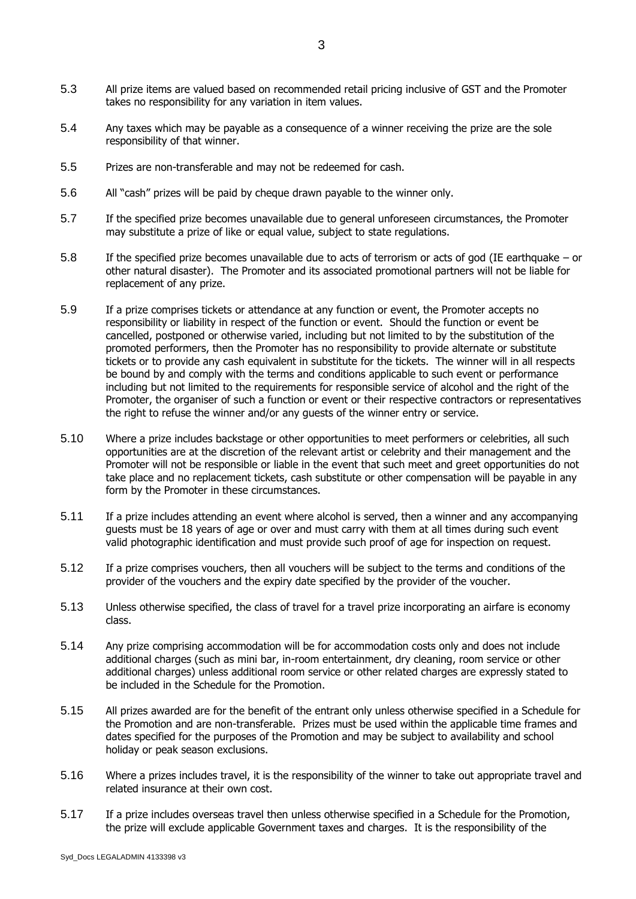- 5.3 All prize items are valued based on recommended retail pricing inclusive of GST and the Promoter takes no responsibility for any variation in item values.
- 5.4 Any taxes which may be payable as a consequence of a winner receiving the prize are the sole responsibility of that winner.
- 5.5 Prizes are non-transferable and may not be redeemed for cash.
- 5.6 All "cash" prizes will be paid by cheque drawn payable to the winner only.
- 5.7 If the specified prize becomes unavailable due to general unforeseen circumstances, the Promoter may substitute a prize of like or equal value, subject to state regulations.
- 5.8 If the specified prize becomes unavailable due to acts of terrorism or acts of god (IE earthquake or other natural disaster). The Promoter and its associated promotional partners will not be liable for replacement of any prize.
- 5.9 If a prize comprises tickets or attendance at any function or event, the Promoter accepts no responsibility or liability in respect of the function or event. Should the function or event be cancelled, postponed or otherwise varied, including but not limited to by the substitution of the promoted performers, then the Promoter has no responsibility to provide alternate or substitute tickets or to provide any cash equivalent in substitute for the tickets. The winner will in all respects be bound by and comply with the terms and conditions applicable to such event or performance including but not limited to the requirements for responsible service of alcohol and the right of the Promoter, the organiser of such a function or event or their respective contractors or representatives the right to refuse the winner and/or any guests of the winner entry or service.
- 5.10 Where a prize includes backstage or other opportunities to meet performers or celebrities, all such opportunities are at the discretion of the relevant artist or celebrity and their management and the Promoter will not be responsible or liable in the event that such meet and greet opportunities do not take place and no replacement tickets, cash substitute or other compensation will be payable in any form by the Promoter in these circumstances.
- 5.11 If a prize includes attending an event where alcohol is served, then a winner and any accompanying guests must be 18 years of age or over and must carry with them at all times during such event valid photographic identification and must provide such proof of age for inspection on request.
- 5.12 If a prize comprises vouchers, then all vouchers will be subject to the terms and conditions of the provider of the vouchers and the expiry date specified by the provider of the voucher.
- 5.13 Unless otherwise specified, the class of travel for a travel prize incorporating an airfare is economy class.
- 5.14 Any prize comprising accommodation will be for accommodation costs only and does not include additional charges (such as mini bar, in-room entertainment, dry cleaning, room service or other additional charges) unless additional room service or other related charges are expressly stated to be included in the Schedule for the Promotion.
- 5.15 All prizes awarded are for the benefit of the entrant only unless otherwise specified in a Schedule for the Promotion and are non-transferable. Prizes must be used within the applicable time frames and dates specified for the purposes of the Promotion and may be subject to availability and school holiday or peak season exclusions.
- 5.16 Where a prizes includes travel, it is the responsibility of the winner to take out appropriate travel and related insurance at their own cost.
- 5.17 If a prize includes overseas travel then unless otherwise specified in a Schedule for the Promotion, the prize will exclude applicable Government taxes and charges. It is the responsibility of the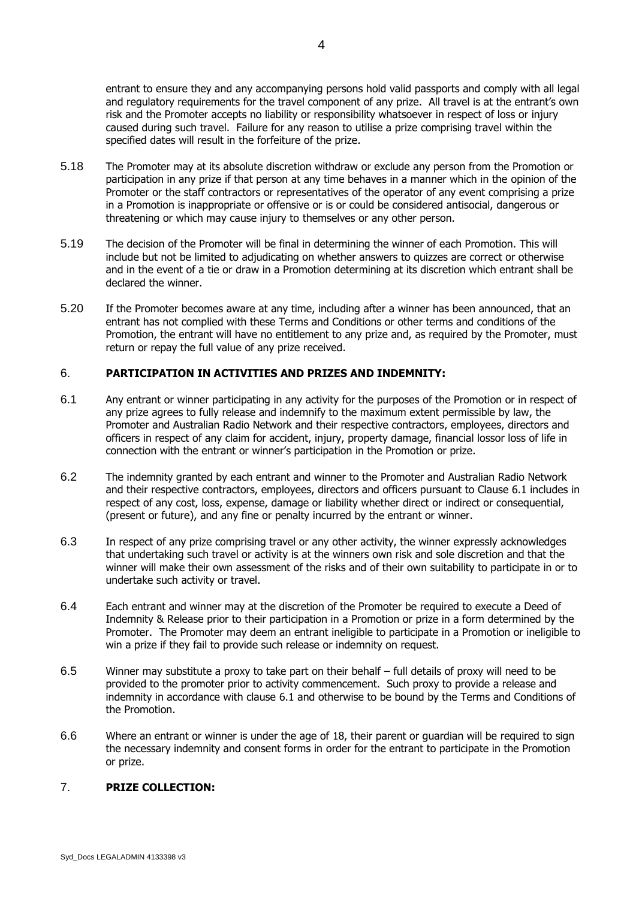entrant to ensure they and any accompanying persons hold valid passports and comply with all legal and regulatory requirements for the travel component of any prize. All travel is at the entrant's own risk and the Promoter accepts no liability or responsibility whatsoever in respect of loss or injury caused during such travel. Failure for any reason to utilise a prize comprising travel within the specified dates will result in the forfeiture of the prize.

- 5.18 The Promoter may at its absolute discretion withdraw or exclude any person from the Promotion or participation in any prize if that person at any time behaves in a manner which in the opinion of the Promoter or the staff contractors or representatives of the operator of any event comprising a prize in a Promotion is inappropriate or offensive or is or could be considered antisocial, dangerous or threatening or which may cause injury to themselves or any other person.
- 5.19 The decision of the Promoter will be final in determining the winner of each Promotion. This will include but not be limited to adjudicating on whether answers to quizzes are correct or otherwise and in the event of a tie or draw in a Promotion determining at its discretion which entrant shall be declared the winner.
- 5.20 If the Promoter becomes aware at any time, including after a winner has been announced, that an entrant has not complied with these Terms and Conditions or other terms and conditions of the Promotion, the entrant will have no entitlement to any prize and, as required by the Promoter, must return or repay the full value of any prize received.

#### 6. **PARTICIPATION IN ACTIVITIES AND PRIZES AND INDEMNITY:**

- <span id="page-3-0"></span>6.1 Any entrant or winner participating in any activity for the purposes of the Promotion or in respect of any prize agrees to fully release and indemnify to the maximum extent permissible by law, the Promoter and Australian Radio Network and their respective contractors, employees, directors and officers in respect of any claim for accident, injury, property damage, financial lossor loss of life in connection with the entrant or winner's participation in the Promotion or prize.
- 6.2 The indemnity granted by each entrant and winner to the Promoter and Australian Radio Network and their respective contractors, employees, directors and officers pursuant to Clause 6.1 includes in respect of any cost, loss, expense, damage or liability whether direct or indirect or consequential, (present or future), and any fine or penalty incurred by the entrant or winner.
- 6.3 In respect of any prize comprising travel or any other activity, the winner expressly acknowledges that undertaking such travel or activity is at the winners own risk and sole discretion and that the winner will make their own assessment of the risks and of their own suitability to participate in or to undertake such activity or travel.
- 6.4 Each entrant and winner may at the discretion of the Promoter be required to execute a Deed of Indemnity & Release prior to their participation in a Promotion or prize in a form determined by the Promoter. The Promoter may deem an entrant ineligible to participate in a Promotion or ineligible to win a prize if they fail to provide such release or indemnity on request.
- 6.5 Winner may substitute a proxy to take part on their behalf full details of proxy will need to be provided to the promoter prior to activity commencement. Such proxy to provide a release and indemnity in accordance with clause [6.1](#page-3-0) and otherwise to be bound by the Terms and Conditions of the Promotion.
- 6.6 Where an entrant or winner is under the age of 18, their parent or guardian will be required to sign the necessary indemnity and consent forms in order for the entrant to participate in the Promotion or prize.

#### 7. **PRIZE COLLECTION:**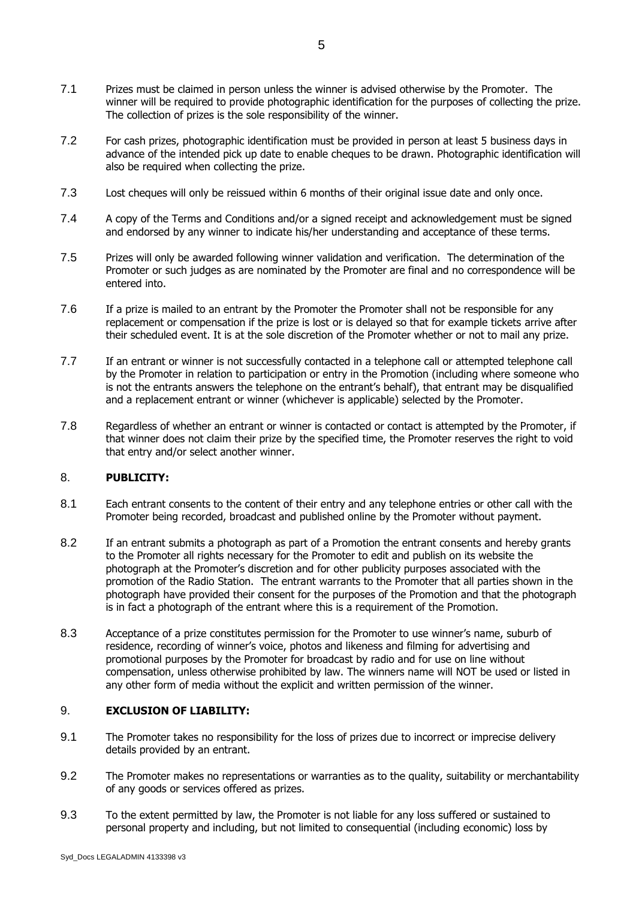- 7.1 Prizes must be claimed in person unless the winner is advised otherwise by the Promoter. The winner will be required to provide photographic identification for the purposes of collecting the prize. The collection of prizes is the sole responsibility of the winner.
- 7.2 For cash prizes, photographic identification must be provided in person at least 5 business days in advance of the intended pick up date to enable cheques to be drawn. Photographic identification will also be required when collecting the prize.
- 7.3 Lost cheques will only be reissued within 6 months of their original issue date and only once.
- 7.4 A copy of the Terms and Conditions and/or a signed receipt and acknowledgement must be signed and endorsed by any winner to indicate his/her understanding and acceptance of these terms.
- 7.5 Prizes will only be awarded following winner validation and verification. The determination of the Promoter or such judges as are nominated by the Promoter are final and no correspondence will be entered into.
- 7.6 If a prize is mailed to an entrant by the Promoter the Promoter shall not be responsible for any replacement or compensation if the prize is lost or is delayed so that for example tickets arrive after their scheduled event. It is at the sole discretion of the Promoter whether or not to mail any prize.
- 7.7 If an entrant or winner is not successfully contacted in a telephone call or attempted telephone call by the Promoter in relation to participation or entry in the Promotion (including where someone who is not the entrants answers the telephone on the entrant's behalf), that entrant may be disqualified and a replacement entrant or winner (whichever is applicable) selected by the Promoter.
- 7.8 Regardless of whether an entrant or winner is contacted or contact is attempted by the Promoter, if that winner does not claim their prize by the specified time, the Promoter reserves the right to void that entry and/or select another winner.

#### 8. **PUBLICITY:**

- 8.1 Each entrant consents to the content of their entry and any telephone entries or other call with the Promoter being recorded, broadcast and published online by the Promoter without payment.
- 8.2 If an entrant submits a photograph as part of a Promotion the entrant consents and hereby grants to the Promoter all rights necessary for the Promoter to edit and publish on its website the photograph at the Promoter's discretion and for other publicity purposes associated with the promotion of the Radio Station. The entrant warrants to the Promoter that all parties shown in the photograph have provided their consent for the purposes of the Promotion and that the photograph is in fact a photograph of the entrant where this is a requirement of the Promotion.
- 8.3 Acceptance of a prize constitutes permission for the Promoter to use winner's name, suburb of residence, recording of winner's voice, photos and likeness and filming for advertising and promotional purposes by the Promoter for broadcast by radio and for use on line without compensation, unless otherwise prohibited by law. The winners name will NOT be used or listed in any other form of media without the explicit and written permission of the winner.

#### 9. **EXCLUSION OF LIABILITY:**

- 9.1 The Promoter takes no responsibility for the loss of prizes due to incorrect or imprecise delivery details provided by an entrant.
- 9.2 The Promoter makes no representations or warranties as to the quality, suitability or merchantability of any goods or services offered as prizes.
- 9.3 To the extent permitted by law, the Promoter is not liable for any loss suffered or sustained to personal property and including, but not limited to consequential (including economic) loss by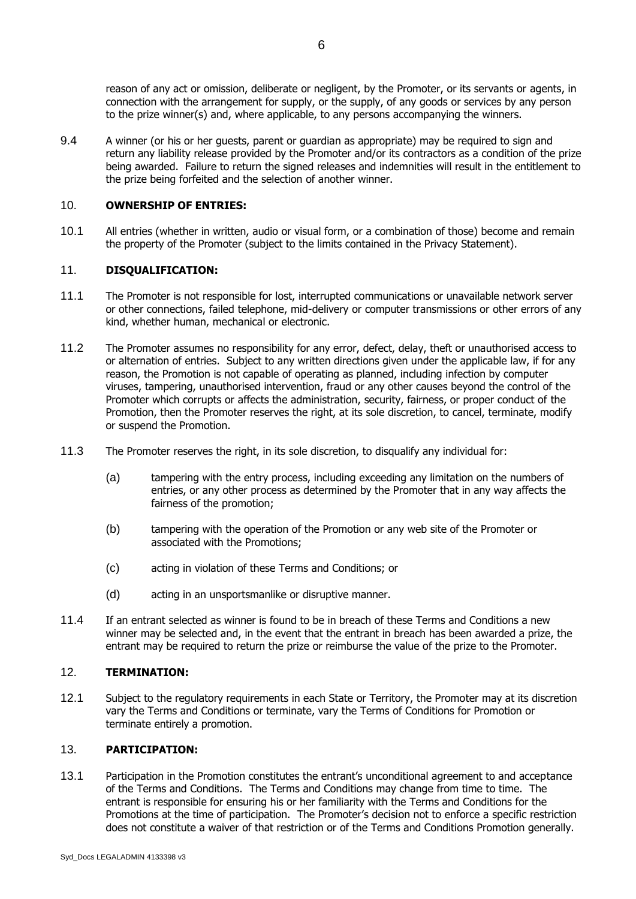reason of any act or omission, deliberate or negligent, by the Promoter, or its servants or agents, in connection with the arrangement for supply, or the supply, of any goods or services by any person to the prize winner(s) and, where applicable, to any persons accompanying the winners.

9.4 A winner (or his or her guests, parent or guardian as appropriate) may be required to sign and return any liability release provided by the Promoter and/or its contractors as a condition of the prize being awarded. Failure to return the signed releases and indemnities will result in the entitlement to the prize being forfeited and the selection of another winner.

### 10. **OWNERSHIP OF ENTRIES:**

10.1 All entries (whether in written, audio or visual form, or a combination of those) become and remain the property of the Promoter (subject to the limits contained in the Privacy Statement).

## 11. **DISQUALIFICATION:**

- 11.1 The Promoter is not responsible for lost, interrupted communications or unavailable network server or other connections, failed telephone, mid-delivery or computer transmissions or other errors of any kind, whether human, mechanical or electronic.
- 11.2 The Promoter assumes no responsibility for any error, defect, delay, theft or unauthorised access to or alternation of entries. Subject to any written directions given under the applicable law, if for any reason, the Promotion is not capable of operating as planned, including infection by computer viruses, tampering, unauthorised intervention, fraud or any other causes beyond the control of the Promoter which corrupts or affects the administration, security, fairness, or proper conduct of the Promotion, then the Promoter reserves the right, at its sole discretion, to cancel, terminate, modify or suspend the Promotion.
- 11.3 The Promoter reserves the right, in its sole discretion, to disqualify any individual for:
	- (a) tampering with the entry process, including exceeding any limitation on the numbers of entries, or any other process as determined by the Promoter that in any way affects the fairness of the promotion;
	- (b) tampering with the operation of the Promotion or any web site of the Promoter or associated with the Promotions;
	- (c) acting in violation of these Terms and Conditions; or
	- (d) acting in an unsportsmanlike or disruptive manner.
- 11.4 If an entrant selected as winner is found to be in breach of these Terms and Conditions a new winner may be selected and, in the event that the entrant in breach has been awarded a prize, the entrant may be required to return the prize or reimburse the value of the prize to the Promoter.

#### 12. **TERMINATION:**

12.1 Subject to the regulatory requirements in each State or Territory, the Promoter may at its discretion vary the Terms and Conditions or terminate, vary the Terms of Conditions for Promotion or terminate entirely a promotion.

#### 13. **PARTICIPATION:**

13.1 Participation in the Promotion constitutes the entrant's unconditional agreement to and acceptance of the Terms and Conditions. The Terms and Conditions may change from time to time. The entrant is responsible for ensuring his or her familiarity with the Terms and Conditions for the Promotions at the time of participation. The Promoter's decision not to enforce a specific restriction does not constitute a waiver of that restriction or of the Terms and Conditions Promotion generally.